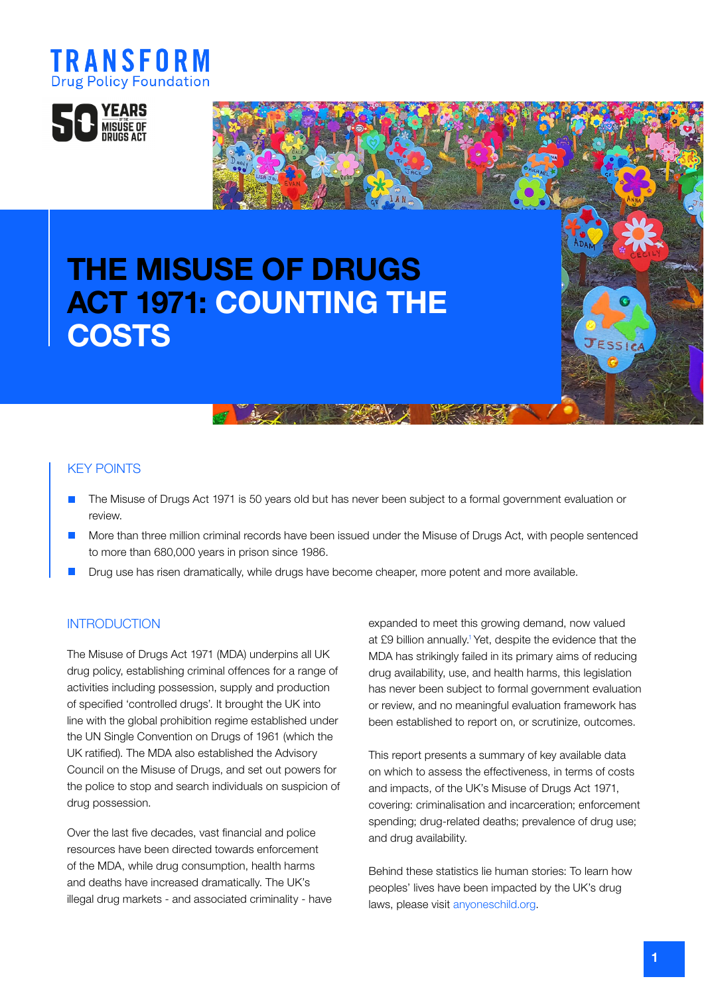



# THE MISUSE OF DRUGS ACT 1971: COUNTING THE **COSTS**

## KEY POINTS

- **•** The Misuse of Drugs Act 1971 is 50 years old but has never been subject to a formal government evaluation or review.
- **More than three million criminal records have been issued under the Misuse of Drugs Act, with people sentenced** to more than 680,000 years in prison since 1986.
- Drug use has risen dramatically, while drugs have become cheaper, more potent and more available.

as so you the state

## **INTRODUCTION**

The Misuse of Drugs Act 1971 (MDA) underpins all UK drug policy, establishing criminal offences for a range of activities including possession, supply and production of specified 'controlled drugs'. It brought the UK into line with the global prohibition regime established under the UN Single Convention on Drugs of 1961 (which the UK ratified). The MDA also established the Advisory Council on the Misuse of Drugs, and set out powers for the police to stop and search individuals on suspicion of drug possession.

Over the last five decades, vast financial and police resources have been directed towards enforcement of the MDA, while drug consumption, health harms and deaths have increased dramatically. The UK's illegal drug markets - and associated criminality - have expanded to meet this growing demand, now valued at £9 billion annually.<sup>1</sup> Yet, despite the evidence that the MDA has strikingly failed in its primary aims of reducing drug availability, use, and health harms, this legislation has never been subject to formal government evaluation or review, and no meaningful evaluation framework has been established to report on, or scrutinize, outcomes.

This report presents a summary of key available data on which to assess the effectiveness, in terms of costs and impacts, of the UK's Misuse of Drugs Act 1971, covering: criminalisation and incarceration; enforcement spending; drug-related deaths; prevalence of drug use; and drug availability.

Behind these statistics lie human stories: To learn how peoples' lives have been impacted by the UK's drug laws, please visit [anyoneschild.org](https://anyoneschild.org).

ESSI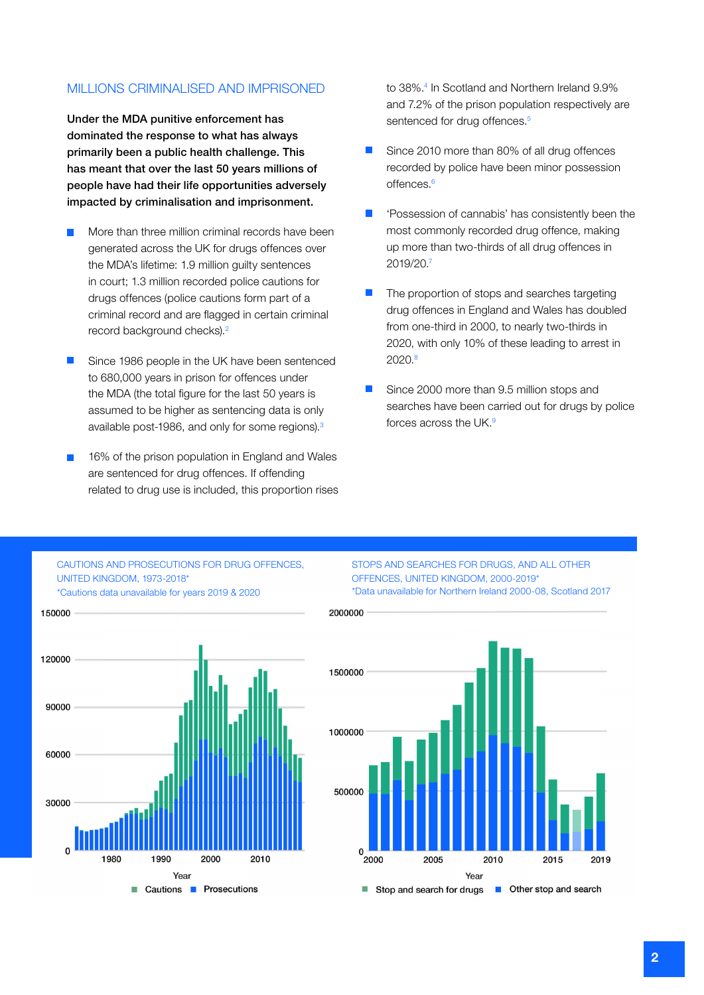## MILLIONS CRIMINALISED AND IMPRISONED

Under the MDA punitive enforcement has dominated the response to what has always primarily been a public health challenge. This has meant that over the last 50 years millions of people have had their life opportunities adversely impacted by criminalisation and imprisonment.

- More than three million criminal records have been generated across the UK for drugs offences over the MDA's lifetime: 1.9 million guilty sentences in court; 1.3 million recorded police cautions for drugs offences (police cautions form part of a criminal record and are flagged in certain criminal record background checks).2
- Since 1986 people in the UK have been sentenced to 680,000 years in prison for offences under the MDA (the total figure for the last 50 years is assumed to be higher as sentencing data is only available post-1986, and only for some regions).<sup>3</sup>
- 16% of the prison population in England and Wales are sentenced for drug offences. If offending related to drug use is included, this proportion rises

to 38%.4 In Scotland and Northern Ireland 9.9% and 7.2% of the prison population respectively are sentenced for drug offences.<sup>5</sup>

- Since 2010 more than 80% of all drug offences recorded by police have been minor possession offences<sup>6</sup>
- 'Possession of cannabis' has consistently been the most commonly recorded drug offence, making up more than two-thirds of all drug offences in 2019/20.7
- The proportion of stops and searches targeting drug offences in England and Wales has doubled from one-third in 2000, to nearly two-thirds in 2020, with only 10% of these leading to arrest in 2020.8
- Since 2000 more than 9.5 million stops and searches have been carried out for drugs by police forces across the UK.9

#### CAUTIONS AND PROSECUTIONS FOR DRUG OFFENCES, UNITED KINGDOM, 1973-2018\* \*Cautions data unavailable for years 2019 & 2020



STOPS AND SEARCHES FOR DRUGS, AND ALL OTHER OFFENCES, UNITED KINGDOM, 2000-2019\* \*Data unavailable for Northern Ireland 2000-08, Scotland 2017

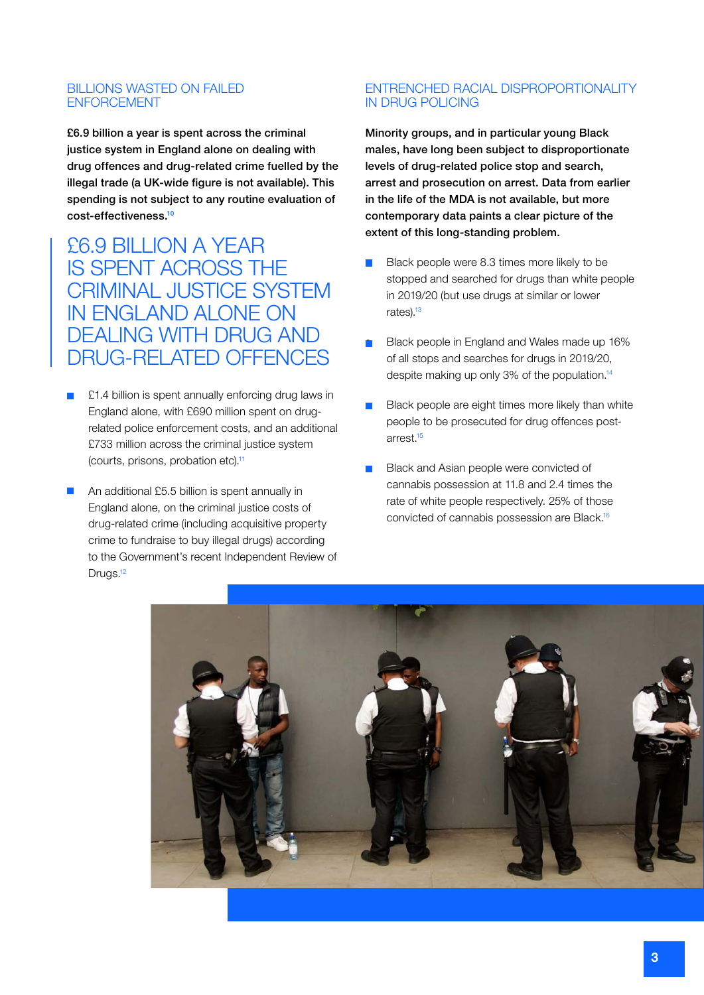## BILLIONS WASTED ON FAILED ENFORCEMENT

£6.9 billion a year is spent across the criminal justice system in England alone on dealing with drug offences and drug-related crime fuelled by the illegal trade (a UK-wide figure is not available). This spending is not subject to any routine evaluation of cost-effectiveness.10

£6.9 BILLION A YEAR IS SPENT ACROSS THE CRIMINAL JUSTICE SYSTEM IN ENGLAND ALONE ON DEALING WITH DRUG AND DRUG-RELATED OFFENCES

- £1.4 billion is spent annually enforcing drug laws in England alone, with £690 million spent on drugrelated police enforcement costs, and an additional £733 million across the criminal justice system (courts, prisons, probation etc).11
- An additional £5.5 billion is spent annually in England alone, on the criminal justice costs of drug-related crime (including acquisitive property crime to fundraise to buy illegal drugs) according to the Government's recent Independent Review of Drugs.<sup>12</sup>

## ENTRENCHED RACIAL DISPROPORTIONALITY IN DRUG POLICING

Minority groups, and in particular young Black males, have long been subject to disproportionate levels of drug-related police stop and search, arrest and prosecution on arrest. Data from earlier in the life of the MDA is not available, but more contemporary data paints a clear picture of the extent of this long-standing problem.

- Black people were 8.3 times more likely to be stopped and searched for drugs than white people in 2019/20 (but use drugs at similar or lower rates).<sup>13</sup>
- Black people in England and Wales made up 16% of all stops and searches for drugs in 2019/20, despite making up only 3% of the population.<sup>14</sup>
- Black people are eight times more likely than white people to be prosecuted for drug offences postarrest.15
- Black and Asian people were convicted of cannabis possession at 11.8 and 2.4 times the rate of white people respectively. 25% of those convicted of cannabis possession are Black.16

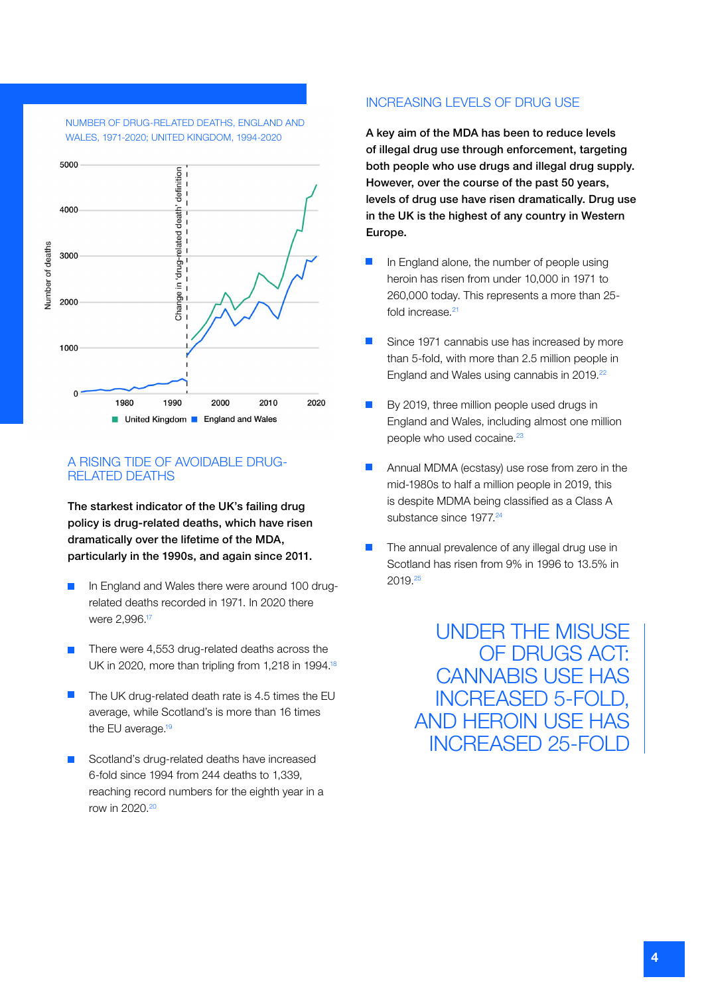



## A RISING TIDE OF AVOIDABLE DRUG-RELATED DEATHS

The starkest indicator of the UK's failing drug policy is drug-related deaths, which have risen dramatically over the lifetime of the MDA, particularly in the 1990s, and again since 2011.

- In England and Wales there were around 100 drugrelated deaths recorded in 1971. In 2020 there were 2,996.17
- **There were 4,553 drug-related deaths across the** UK in 2020, more than tripling from 1,218 in 1994.<sup>18</sup>
- $\blacksquare$  The UK drug-related death rate is 4.5 times the EU average, while Scotland's is more than 16 times the EU average.<sup>19</sup>
- Scotland's drug-related deaths have increased 6-fold since 1994 from 244 deaths to 1,339, reaching record numbers for the eighth year in a row in 2020.20

## INCREASING LEVELS OF DRUG USE

A key aim of the MDA has been to reduce levels of illegal drug use through enforcement, targeting both people who use drugs and illegal drug supply. However, over the course of the past 50 years, levels of drug use have risen dramatically. Drug use in the UK is the highest of any country in Western Europe.

- **In England alone, the number of people using** heroin has risen from under 10,000 in 1971 to 260,000 today. This represents a more than 25 fold increase.<sup>21</sup>
- Since 1971 cannabis use has increased by more than 5-fold, with more than 2.5 million people in England and Wales using cannabis in 2019.<sup>22</sup>
- By 2019, three million people used drugs in England and Wales, including almost one million people who used cocaine.<sup>23</sup>
- Annual MDMA (ecstasy) use rose from zero in the mid-1980s to half a million people in 2019, this is despite MDMA being classified as a Class A substance since 1977.<sup>24</sup>
- The annual prevalence of any illegal drug use in Scotland has risen from 9% in 1996 to 13.5% in 2019.25

UNDER THE MISUSE OF DRUGS ACT: CANNABIS USE HAS INCREASED 5-FOLD, AND HEROIN USE HAS INCREASED 25-FOLD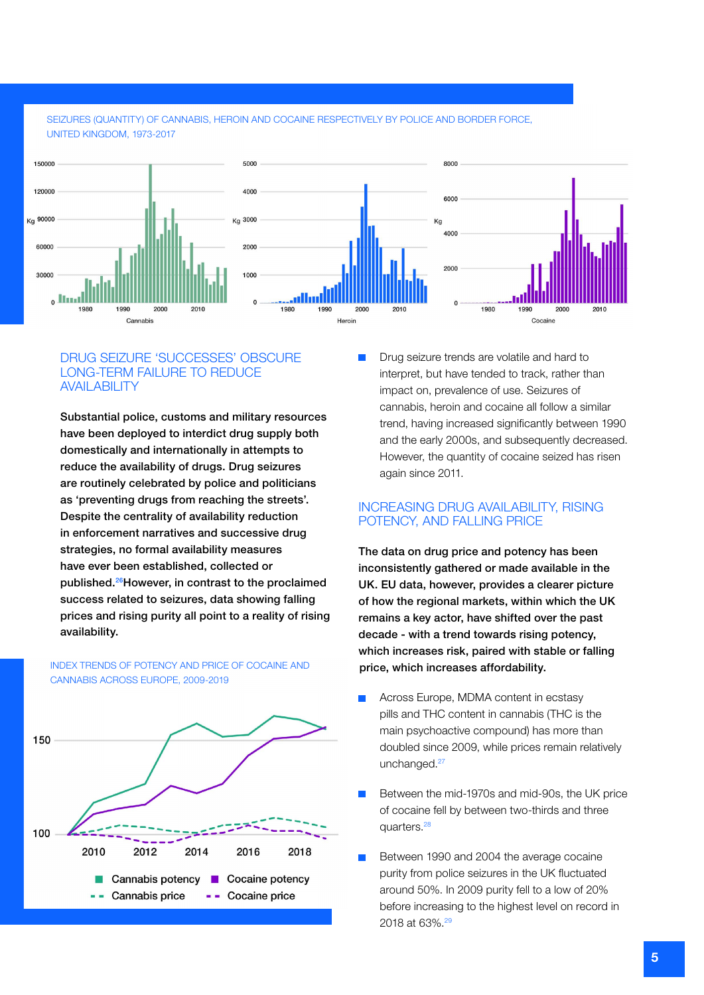#### SEIZURES (QUANTITY) OF CANNABIS, HEROIN AND COCAINE RESPECTIVELY BY POLICE AND BORDER FORCE, UNITED KINGDOM, 1973-2017



#### DRUG SEIZURE 'SUCCESSES' OBSCURE LONG-TERM FAILURE TO REDUCE **AVAIL ABILITY**

Substantial police, customs and military resources have been deployed to interdict drug supply both domestically and internationally in attempts to reduce the availability of drugs. Drug seizures are routinely celebrated by police and politicians as 'preventing drugs from reaching the streets'. Despite the centrality of availability reduction in enforcement narratives and successive drug strategies, no formal availability measures have ever been established, collected or published.26However, in contrast to the proclaimed success related to seizures, data showing falling prices and rising purity all point to a reality of rising availability.

INDEX TRENDS OF POTENCY AND PRICE OF COCAINE AND CANNABIS ACROSS EUROPE, 2009-2019



**• Drug seizure trends are volatile and hard to** interpret, but have tended to track, rather than impact on, prevalence of use. Seizures of cannabis, heroin and cocaine all follow a similar trend, having increased significantly between 1990 and the early 2000s, and subsequently decreased. However, the quantity of cocaine seized has risen again since 2011.

## INCREASING DRUG AVAILABILITY, RISING POTENCY, AND FALLING PRICE

The data on drug price and potency has been inconsistently gathered or made available in the UK. EU data, however, provides a clearer picture of how the regional markets, within which the UK remains a key actor, have shifted over the past decade - with a trend towards rising potency, which increases risk, paired with stable or falling price, which increases affordability.

- Across Europe, MDMA content in ecstasy pills and THC content in cannabis (THC is the main psychoactive compound) has more than doubled since 2009, while prices remain relatively unchanged.<sup>27</sup>
- Between the mid-1970s and mid-90s, the UK price of cocaine fell by between two-thirds and three quarters.28
- Between 1990 and 2004 the average cocaine purity from police seizures in the UK fluctuated around 50%. In 2009 purity fell to a low of 20% before increasing to the highest level on record in 2018 at 63%.<sup>29</sup>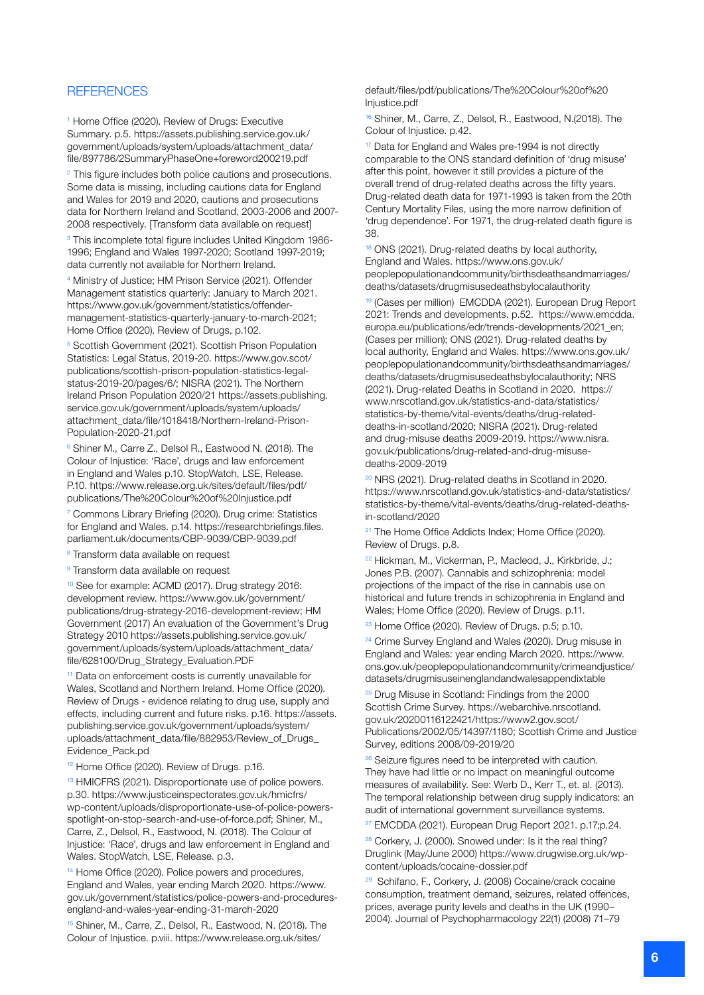### **REFERENCES**

<sup>1</sup> Home Office (2020). Review of Drugs: Executive Summary. p.5. [https://assets.publishing.service.gov.uk/](https://assets.publishing.service.gov.uk/government/uploads/system/uploads/attachment_data/file/897786/2SummaryPhaseOne+foreword200219.pdf) [government/uploads/system/uploads/attachment\\_data/](https://assets.publishing.service.gov.uk/government/uploads/system/uploads/attachment_data/file/897786/2SummaryPhaseOne+foreword200219.pdf) [file/897786/2SummaryPhaseOne+foreword200219.pdf](https://assets.publishing.service.gov.uk/government/uploads/system/uploads/attachment_data/file/897786/2SummaryPhaseOne+foreword200219.pdf)

<sup>2</sup> This figure includes both police cautions and prosecutions. Some data is missing, including cautions data for England and Wales for 2019 and 2020, cautions and prosecutions data for Northern Ireland and Scotland, 2003-2006 and 2007- 2008 respectively. [Transform data available on request]

<sup>3</sup> This incomplete total figure includes United Kingdom 1986-1996; England and Wales 1997-2020; Scotland 1997-2019; data currently not available for Northern Ireland.

4 Ministry of Justice; HM Prison Service (2021). Offender Management statistics quarterly: January to March 2021. [https://www.gov.uk/government/statistics/offender](https://www.gov.uk/government/statistics/offender-management-statistics-quarterly-january-to-march-2021)[management-statistics-quarterly-january-to-march-2021](https://www.gov.uk/government/statistics/offender-management-statistics-quarterly-january-to-march-2021); Home Office (2020). Review of Drugs, p.102.

<sup>5</sup> Scottish Government (2021). Scottish Prison Population Statistics: Legal Status, 2019-20. [https://www.gov.scot/](https://www.gov.scot/publications/scottish-prison-population-statistics-legal-status-2019-20/pages/6/) [publications/scottish-prison-population-statistics-legal](https://www.gov.scot/publications/scottish-prison-population-statistics-legal-status-2019-20/pages/6/)[status-2019-20/pages/6/;](https://www.gov.scot/publications/scottish-prison-population-statistics-legal-status-2019-20/pages/6/) NISRA (2021). The Northern Ireland Prison Population 2020/21 [https://assets.publishing.](https://assets.publishing.service.gov.uk/government/uploads/system/uploads/attachment_data/file/1018418/Northern-Ireland-Prison-Population-2020-21.pdf) [service.gov.uk/government/uploads/system/uploads/](https://assets.publishing.service.gov.uk/government/uploads/system/uploads/attachment_data/file/1018418/Northern-Ireland-Prison-Population-2020-21.pdf) [attachment\\_data/file/1018418/Northern-Ireland-Prison-](https://assets.publishing.service.gov.uk/government/uploads/system/uploads/attachment_data/file/1018418/Northern-Ireland-Prison-Population-2020-21.pdf)[Population-2020-21.pdf](https://assets.publishing.service.gov.uk/government/uploads/system/uploads/attachment_data/file/1018418/Northern-Ireland-Prison-Population-2020-21.pdf)

6 Shiner M., Carre Z., Delsol R., Eastwood N. (2018). The Colour of Injustice: 'Race', drugs and law enforcement in England and Wales p.10. StopWatch, LSE, Release. P.10. [https://www.release.org.uk/sites/default/files/pdf/](https://www.release.org.uk/sites/default/files/pdf/publications/The%20Colour%20of%20Injustice.pdf) [publications/The%20Colour%20of%20Injustice.pdf](https://www.release.org.uk/sites/default/files/pdf/publications/The%20Colour%20of%20Injustice.pdf)

7 Commons Library Briefing (2020). Drug crime: Statistics for England and Wales. p.14. [https://researchbriefings.files.](https://researchbriefings.files.parliament.uk/documents/CBP-9039/CBP-9039.pdf) [parliament.uk/documents/CBP-9039/CBP-9039.pdf](https://researchbriefings.files.parliament.uk/documents/CBP-9039/CBP-9039.pdf) 

<sup>8</sup> Transform data available on request

<sup>9</sup> Transform data available on request

10 See for example: ACMD (2017). Drug strategy 2016: development review. [https://www.gov.uk/government/](https://www.gov.uk/government/publications/drug-strategy-2016-development-review) [publications/drug-strategy-2016-development-review;](https://www.gov.uk/government/publications/drug-strategy-2016-development-review) HM Government (2017) An evaluation of the Government's Drug Strategy 2010 [https://assets.publishing.service.gov.uk/](https://assets.publishing.service.gov.uk/government/uploads/system/uploads/attachment_data/file/628100/Drug_Strategy_Evaluation.PDF) [government/uploads/system/uploads/attachment\\_data/](https://assets.publishing.service.gov.uk/government/uploads/system/uploads/attachment_data/file/628100/Drug_Strategy_Evaluation.PDF) [file/628100/Drug\\_Strategy\\_Evaluation.PDF](https://assets.publishing.service.gov.uk/government/uploads/system/uploads/attachment_data/file/628100/Drug_Strategy_Evaluation.PDF) 

<sup>11</sup> Data on enforcement costs is currently unavailable for Wales, Scotland and Northern Ireland. Home Office (2020). Review of Drugs - evidence relating to drug use, supply and effects, including current and future risks. p.16. [https://assets.](https://assets.publishing.service.gov.uk/government/uploads/system/uploads/attachment_data/file/882953/Review_of_Drugs_Evidence_Pack.pdf) [publishing.service.gov.uk/government/uploads/system/](https://assets.publishing.service.gov.uk/government/uploads/system/uploads/attachment_data/file/882953/Review_of_Drugs_Evidence_Pack.pdf) [uploads/attachment\\_data/file/882953/Review\\_of\\_Drugs\\_](https://assets.publishing.service.gov.uk/government/uploads/system/uploads/attachment_data/file/882953/Review_of_Drugs_Evidence_Pack.pdf) [Evidence\\_Pack.pd](https://assets.publishing.service.gov.uk/government/uploads/system/uploads/attachment_data/file/882953/Review_of_Drugs_Evidence_Pack.pdf)

<sup>12</sup> Home Office (2020). Review of Drugs. p.16.

<sup>13</sup> HMICFRS (2021). Disproportionate use of police powers. p.30. [https://www.justiceinspectorates.gov.uk/hmicfrs/](https://www.justiceinspectorates.gov.uk/hmicfrs/wp-content/uploads/disproportionate-use-of-police-powers-spotlight-on-stop-search-and-use-of-force.pdf) [wp-content/uploads/disproportionate-use-of-police-powers](https://www.justiceinspectorates.gov.uk/hmicfrs/wp-content/uploads/disproportionate-use-of-police-powers-spotlight-on-stop-search-and-use-of-force.pdf)[spotlight-on-stop-search-and-use-of-force.pdf;](https://www.justiceinspectorates.gov.uk/hmicfrs/wp-content/uploads/disproportionate-use-of-police-powers-spotlight-on-stop-search-and-use-of-force.pdf) Shiner, M., Carre, Z., Delsol, R., Eastwood, N. (2018). The Colour of Injustice: 'Race', drugs and law enforcement in England and Wales. StopWatch, LSE, Release. p.3.

<sup>14</sup> Home Office (2020). Police powers and procedures, England and Wales, year ending March 2020. [https://www.](https://www.gov.uk/government/statistics/police-powers-and-procedures-england-and-wales-year-ending-31-march-2020) [gov.uk/government/statistics/police-powers-and-procedures](https://www.gov.uk/government/statistics/police-powers-and-procedures-england-and-wales-year-ending-31-march-2020)[england-and-wales-year-ending-31-march-2020](https://www.gov.uk/government/statistics/police-powers-and-procedures-england-and-wales-year-ending-31-march-2020) 

15 Shiner, M., Carre, Z., Delsol, R., Eastwood, N. (2018). The Colour of Injustice. p.viii. [https://www.release.org.uk/sites/](https://www.release.org.uk/sites/default/files/pdf/publications/The%20Colour%20of%20Injustice.pdf)

[default/files/pdf/publications/The%20Colour%20of%20](https://www.release.org.uk/sites/default/files/pdf/publications/The%20Colour%20of%20Injustice.pdf) [Injustice.pdf](https://www.release.org.uk/sites/default/files/pdf/publications/The%20Colour%20of%20Injustice.pdf) 

16 Shiner, M., Carre, Z., Delsol, R., Eastwood, N.(2018). The Colour of Injustice. p.42.

<sup>17</sup> Data for England and Wales pre-1994 is not directly comparable to the ONS standard definition of 'drug misuse' after this point, however it still provides a picture of the overall trend of drug-related deaths across the fifty years. Drug-related death data for 1971-1993 is taken from the 20th Century Mortality Files, using the more narrow definition of 'drug dependence'. For 1971, the drug-related death figure is 38.

<sup>18</sup> ONS (2021). Drug-related deaths by local authority, England and Wales. [https://www.ons.gov.uk/](https://www.ons.gov.uk/peoplepopulationandcommunity/birthsdeathsandmarriages/deaths/datasets/drugmisusedeathsbylocalauthority) [peoplepopulationandcommunity/birthsdeathsandmarriages/](https://www.ons.gov.uk/peoplepopulationandcommunity/birthsdeathsandmarriages/deaths/datasets/drugmisusedeathsbylocalauthority) [deaths/datasets/drugmisusedeathsbylocalauthority](https://www.ons.gov.uk/peoplepopulationandcommunity/birthsdeathsandmarriages/deaths/datasets/drugmisusedeathsbylocalauthority)

19 (Cases per million) EMCDDA (2021). European Drug Report 2021: Trends and developments. p.52. [https://www.emcdda.](https://www.emcdda.europa.eu/publications/edr/trends-developments/2021_en) [europa.eu/publications/edr/trends-developments/2021\\_en](https://www.emcdda.europa.eu/publications/edr/trends-developments/2021_en); (Cases per million); ONS (2021). Drug-related deaths by local authority, England and Wales. https://www.ons.gov.uk/ peoplepopulationandcommunity/birthsdeathsandmarriages/ deaths/datasets/drugmisusedeathsbylocalauthority; NRS (2021). Drug-related Deaths in Scotland in 2020. https:// www.nrscotland.gov.uk/statistics-and-data/statistics/ statistics-by-theme/vital-events/deaths/drug-relateddeaths-in-scotland/2020; NISRA (2021). Drug-related and drug-misuse deaths 2009-2019. [https://www.nisra.](https://www.nisra.gov.uk/publications/drug-related-and-drug-misuse-deaths-2009-2019) [gov.uk/publications/drug-related-and-drug-misuse](https://www.nisra.gov.uk/publications/drug-related-and-drug-misuse-deaths-2009-2019)[deaths-2009-2019](https://www.nisra.gov.uk/publications/drug-related-and-drug-misuse-deaths-2009-2019) 

20 NRS (2021). Drug-related deaths in Scotland in 2020. [https://www.nrscotland.gov.uk/statistics-and-data/statistics/](https://www.nrscotland.gov.uk/statistics-and-data/statistics/statistics-by-theme/vital-events/deaths/drug-related-deaths-in-scotland/2020) [statistics-by-theme/vital-events/deaths/drug-related-deaths](https://www.nrscotland.gov.uk/statistics-and-data/statistics/statistics-by-theme/vital-events/deaths/drug-related-deaths-in-scotland/2020)[in-scotland/2020](https://www.nrscotland.gov.uk/statistics-and-data/statistics/statistics-by-theme/vital-events/deaths/drug-related-deaths-in-scotland/2020)

<sup>21</sup> The Home Office Addicts Index; Home Office (2020). Review of Drugs. p.8.

22 Hickman, M., Vickerman, P., Macleod, J., Kirkbride, J.; Jones P.B. (2007). Cannabis and schizophrenia: model projections of the impact of the rise in cannabis use on historical and future trends in schizophrenia in England and Wales; Home Office (2020). Review of Drugs. p.11.

<sup>23</sup> Home Office (2020). Review of Drugs. p.5; p.10.

<sup>24</sup> Crime Survey England and Wales (2020). Drug misuse in England and Wales: year ending March 2020. [https://www.](https://www.ons.gov.uk/peoplepopulationandcommunity/crimeandjustice/datasets/drugmisuseinenglandandwalesappendixtable) [ons.gov.uk/peoplepopulationandcommunity/crimeandjustice/](https://www.ons.gov.uk/peoplepopulationandcommunity/crimeandjustice/datasets/drugmisuseinenglandandwalesappendixtable) [datasets/drugmisuseinenglandandwalesappendixtable](https://www.ons.gov.uk/peoplepopulationandcommunity/crimeandjustice/datasets/drugmisuseinenglandandwalesappendixtable)

<sup>25</sup> Drug Misuse in Scotland: Findings from the 2000 Scottish Crime Survey. [https://webarchive.nrscotland.](https://webarchive.nrscotland.gov.uk/20200116122421/https://www2.gov.scot/Publications/2002/05/14397/1180) [gov.uk/20200116122421/https://www2.gov.scot/](https://webarchive.nrscotland.gov.uk/20200116122421/https://www2.gov.scot/Publications/2002/05/14397/1180) [Publications/2002/05/14397/1180;](https://webarchive.nrscotland.gov.uk/20200116122421/https://www2.gov.scot/Publications/2002/05/14397/1180) Scottish Crime and Justice Survey, editions 2008/09-2019/20

 $26$  Seizure figures need to be interpreted with caution. They have had little or no impact on meaningful outcome measures of availability. See: Werb D., Kerr T., et. al. (2013). The temporal relationship between drug supply indicators: an audit of international government surveillance systems.

27 EMCDDA (2021). European Drug Report 2021. p.17;p.24.

<sup>28</sup> Corkery, J. (2000). Snowed under: Is it the real thing? Druglink (May/June 2000) [https://www.drugwise.org.uk/wp](https://www.drugwise.org.uk/wp-content/uploads/cocaine-dossier.pdf)[content/uploads/cocaine-dossier.pdf](https://www.drugwise.org.uk/wp-content/uploads/cocaine-dossier.pdf)

29 Schifano, F., Corkery, J. (2008) Cocaine/crack cocaine consumption, treatment demand, seizures, related offences, prices, average purity levels and deaths in the UK (1990– 2004). Journal of Psychopharmacology 22(1) (2008) 71–79